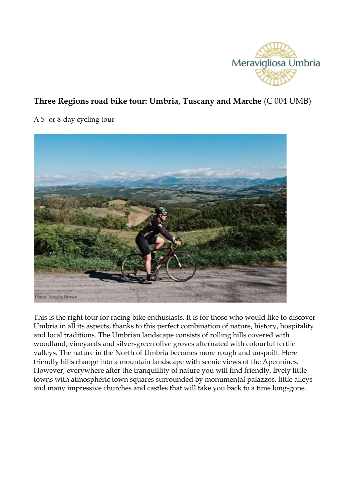

# **Three Regions road bike tour: Umbria, Tuscany and Marche** (C 004 UMB)

A 5- or 8-day cycling tour



This is the right tour for racing bike enthusiasts. It is for those who would like to discover Umbria in all its aspects, thanks to this perfect combination of nature, history, hospitality and local traditions. The Umbrian landscape consists of rolling hills covered with woodland, vineyards and silver-green olive groves alternated with colourful fertile valleys. The nature in the North of Umbria becomes more rough and unspoilt. Here friendly hills change into a mountain landscape with scenic views of the Apennines. However, everywhere after the tranquillity of nature you will find friendly, lively little towns with atmospheric town squares surrounded by monumental palazzos, little alleys and many impressive churches and castles that will take you back to a time long-gone.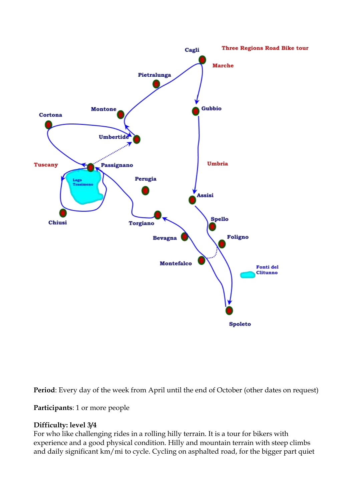

**Period**: Every day of the week from April until the end of October (other dates on request)

**Participants**: 1 or more people

## **Difficulty: level 3/4**

For who like challenging rides in a rolling hilly terrain. It is a tour for bikers with experience and a good physical condition. Hilly and mountain terrain with steep climbs and daily significant km/mi to cycle. Cycling on asphalted road, for the bigger part quiet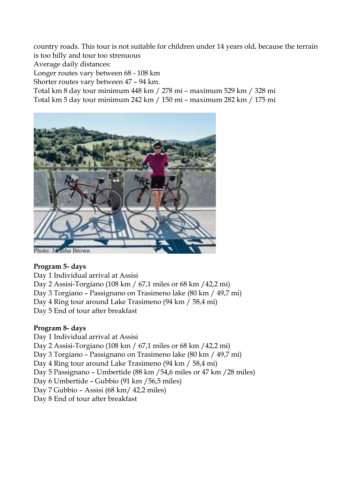country roads. This tour is not suitable for children under 14 years old, because the terrain is too hilly and tour too strenuous

Average daily distances:

Longer routes vary between 68 - 108 km

Shorter routes vary between 47 – 94 km.

Total km 8 day tour minimum 448 km / 278 mi – maximum 529 km / 328 mi

Total km 5 day tour minimum 242 km / 150 mi – maximum 282 km / 175 mi



## **Program 5- days**

Day 1 Individual arrival at Assisi

Day 2 Assisi-Torgiano (108 km / 67,1 miles or 68 km /42,2 mi)

Day 3 Torgiano – Passignano on Trasimeno lake (80 km / 49,7 mi)

Day 4 Ring tour around Lake Trasimeno (94 km / 58,4 mi)

Day 5 End of tour after breakfast

## **Program 8- days**

Day 1 Individual arrival at Assisi

Day 2 Assisi-Torgiano (108 km / 67,1 miles or 68 km /42,2 mi)

Day 3 Torgiano – Passignano on Trasimeno lake (80 km / 49,7 mi)

Day 4 Ring tour around Lake Trasimeno (94 km / 58,4 mi)

Day 5 Passignano – Umbertide (88 km /54,6 miles or 47 km /28 miles)

Day 6 Umbertide – Gubbio (91 km /56,5 miles)

Day 7 Gubbio – Assisi (68 km/ 42,2 miles)

Day 8 End of tour after breakfast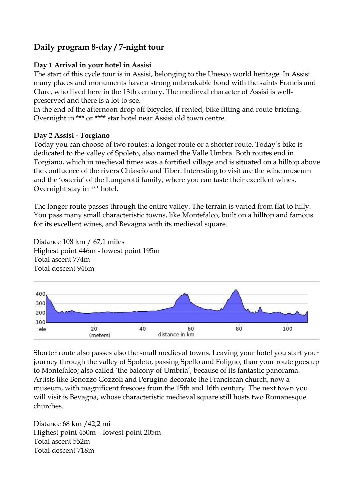# **Daily program 8-day / 7-night tour**

## **Day 1 Arrival in your hotel in Assisi**

The start of this cycle tour is in Assisi, belonging to the Unesco world heritage. In Assisi many places and monuments have a strong unbreakable bond with the saints Francis and Clare, who lived here in the 13th century. The medieval character of Assisi is wellpreserved and there is a lot to see.

In the end of the afternoon drop off bicycles, if rented, bike fitting and route briefing. Overnight in \*\*\* or \*\*\*\* star hotel near Assisi old town centre.

## **Day 2 Assisi - Torgiano**

Today you can choose of two routes: a longer route or a shorter route. Today's bike is dedicated to the valley of Spoleto, also named the Valle Umbra. Both routes end in Torgiano, which in medieval times was a fortified village and is situated on a hilltop above the confluence of the rivers Chiascio and Tiber. Interesting to visit are the wine museum and the 'osteria' of the Lungarotti family, where you can taste their excellent wines. Overnight stay in \*\*\* hotel.

The longer route passes through the entire valley. The terrain is varied from flat to hilly. You pass many small characteristic towns, like Montefalco, built on a hilltop and famous for its excellent wines, and Bevagna with its medieval square.

Distance 108 km / 67,1 miles Highest point 446m - lowest point 195m Total ascent 774m Total descent 946m



Shorter route also passes also the small medieval towns. Leaving your hotel you start your journey through the valley of Spoleto, passing Spello and Foligno, than your route goes up to Montefalco; also called 'the balcony of Umbria', because of its fantastic panorama. Artists like Benozzo Gozzoli and Perugino decorate the Franciscan church, now a museum, with magnificent frescoes from the 15th and 16th century. The next town you will visit is Bevagna, whose characteristic medieval square still hosts two Romanesque churches.

Distance 68 km /42,2 mi Highest point 450m – lowest point 205m Total ascent 552m Total descent 718m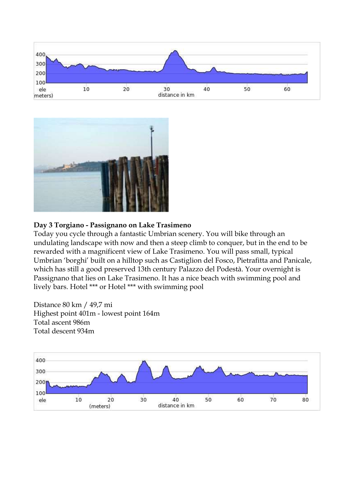



## **Day 3 Torgiano - Passignano on Lake Trasimeno**

Today you cycle through a fantastic Umbrian scenery. You will bike through an undulating landscape with now and then a steep climb to conquer, but in the end to be rewarded with a magnificent view of Lake Trasimeno. You will pass small, typical Umbrian 'borghi' built on a hilltop such as Castiglion del Fosco, Pietrafitta and Panicale, which has still a good preserved 13th century Palazzo del Podestà. Your overnight is Passignano that lies on Lake Trasimeno. It has a nice beach with swimming pool and lively bars. Hotel \*\*\* or Hotel \*\*\* with swimming pool

Distance 80 km / 49,7 mi Highest point 401m - lowest point 164m Total ascent 986m Total descent 934m

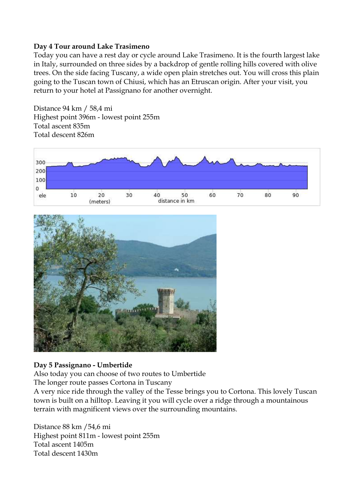#### **Day 4 Tour around Lake Trasimeno**

Today you can have a rest day or cycle around Lake Trasimeno. It is the fourth largest lake in Italy, surrounded on three sides by a backdrop of gentle rolling hills covered with olive trees. On the side facing Tuscany, a wide open plain stretches out. You will cross this plain going to the Tuscan town of Chiusi, which has an Etruscan origin. After your visit, you return to your hotel at Passignano for another overnight.

Distance 94 km / 58,4 mi Highest point 396m - lowest point 255m Total ascent 835m Total descent 826m





## **Day 5 Passignano - Umbertide**

Also today you can choose of two routes to Umbertide

The longer route passes Cortona in Tuscany

A very nice ride through the valley of the Tesse brings you to Cortona. This lovely Tuscan town is built on a hilltop. Leaving it you will cycle over a ridge through a mountainous terrain with magnificent views over the surrounding mountains.

Distance 88 km /54,6 mi Highest point 811m - lowest point 255m Total ascent 1405m Total descent 1430m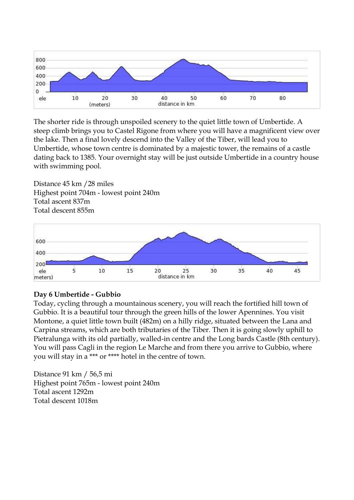

The shorter ride is through unspoiled scenery to the quiet little town of Umbertide. A steep climb brings you to Castel Rigone from where you will have a magnificent view over the lake. Then a final lovely descend into the Valley of the Tiber, will lead you to Umbertide, whose town centre is dominated by a majestic tower, the remains of a castle dating back to 1385. Your overnight stay will be just outside Umbertide in a country house with swimming pool.

Distance 45 km /28 miles Highest point 704m - lowest point 240m Total ascent 837m Total descent 855m



## **Day 6 Umbertide - Gubbio**

Today, cycling through a mountainous scenery, you will reach the fortified hill town of Gubbio. It is a beautiful tour through the green hills of the lower Apennines. You visit Montone, a quiet little town built (482m) on a hilly ridge, situated between the Lana and Carpina streams, which are both tributaries of the Tiber. Then it is going slowly uphill to Pietralunga with its old partially, walled-in centre and the Long bards Castle (8th century). You will pass Cagli in the region Le Marche and from there you arrive to Gubbio, where you will stay in a \*\*\* or \*\*\*\* hotel in the centre of town.

Distance 91 km / 56,5 mi Highest point 765m - lowest point 240m Total ascent 1292m Total descent 1018m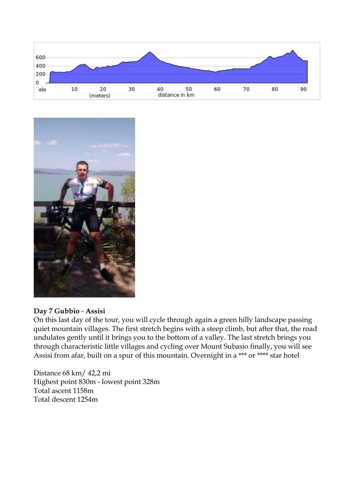



#### **Day 7 Gubbio** - **Assisi**

On this last day of the tour, you will cycle through again a green hilly landscape passing quiet mountain villages. The first stretch begins with a steep climb, but after that, the road undulates gently until it brings you to the bottom of a valley. The last stretch brings you through characteristic little villages and cycling over Mount Subasio finally, you will see Assisi from afar, built on a spur of this mountain. Overnight in a \*\*\* or \*\*\*\* star hotel

Distance 68 km/ 42,2 mi Highest point 830m - lowest point 328m Total ascent 1158m Total descent 1254m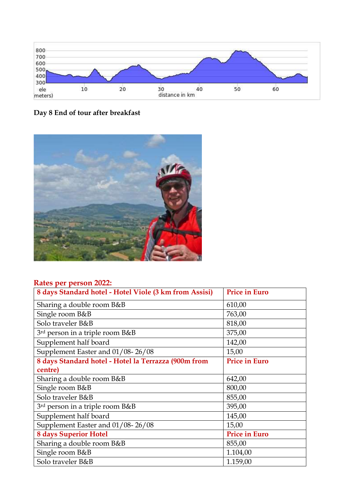





## **Rates per person 2022:**

| 8 days Standard hotel - Hotel Viole (3 km from Assisi) | <b>Price in Euro</b> |
|--------------------------------------------------------|----------------------|
| Sharing a double room B&B                              | 610,00               |
| Single room B&B                                        | 763,00               |
| Solo traveler B&B                                      | 818,00               |
| 3 <sup>rd</sup> person in a triple room B&B            | 375,00               |
| Supplement half board                                  | 142,00               |
| Supplement Easter and 01/08-26/08                      | 15,00                |
| 8 days Standard hotel - Hotel la Terrazza (900m from   | <b>Price in Euro</b> |
| centre)                                                |                      |
| Sharing a double room B&B                              | 642,00               |
| Single room B&B                                        | 800,00               |
| Solo traveler B&B                                      | 855,00               |
| 3rd person in a triple room B&B                        | 395,00               |
| Supplement half board                                  | 145,00               |
| Supplement Easter and 01/08-26/08                      | 15,00                |
| <b>8 days Superior Hotel</b>                           | <b>Price in Euro</b> |
| Sharing a double room B&B                              | 855,00               |
| Single room B&B                                        | 1.104,00             |
| Solo traveler B&B                                      | 1.159,00             |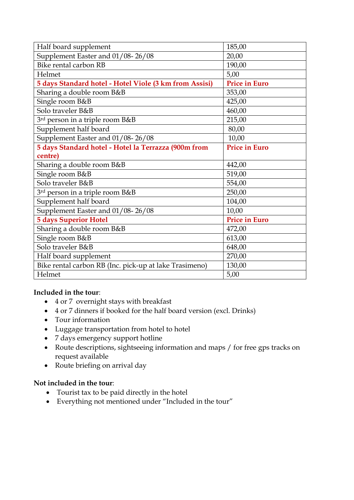| Half board supplement                                  | 185,00               |
|--------------------------------------------------------|----------------------|
| Supplement Easter and 01/08-26/08                      | 20,00                |
| Bike rental carbon RB                                  | 190,00               |
| Helmet                                                 | 5,00                 |
| 5 days Standard hotel - Hotel Viole (3 km from Assisi) | <b>Price in Euro</b> |
| Sharing a double room B&B                              | 353,00               |
| Single room B&B                                        | 425,00               |
| Solo traveler B&B                                      | 460,00               |
| 3rd person in a triple room B&B                        | 215,00               |
| Supplement half board                                  | 80,00                |
| Supplement Easter and 01/08-26/08                      | 10,00                |
| 5 days Standard hotel - Hotel la Terrazza (900m from   | <b>Price in Euro</b> |
| centre)                                                |                      |
| Sharing a double room B&B                              | 442,00               |
| Single room B&B                                        | 519,00               |
| Solo traveler B&B                                      | 554,00               |
| 3rd person in a triple room B&B                        | 250,00               |
| Supplement half board                                  | 104,00               |
| Supplement Easter and 01/08-26/08                      | 10,00                |
| <b>5 days Superior Hotel</b>                           | <b>Price in Euro</b> |
| Sharing a double room B&B                              | 472,00               |
| Single room B&B                                        | 613,00               |
| Solo traveler B&B                                      | 648,00               |
| Half board supplement                                  | 270,00               |
| Bike rental carbon RB (Inc. pick-up at lake Trasimeno) | 130,00               |
| Helmet                                                 | 5,00                 |

## **Included in the tour**:

- 4 or 7 overnight stays with breakfast
- 4 or 7 dinners if booked for the half board version (excl. Drinks)
- Tour information
- Luggage transportation from hotel to hotel
- 7 days emergency support hotline
- Route descriptions, sightseeing information and maps / for free gps tracks on request available
- Route briefing on arrival day

## **Not included in the tour**:

- Tourist tax to be paid directly in the hotel
- Everything not mentioned under "Included in the tour"